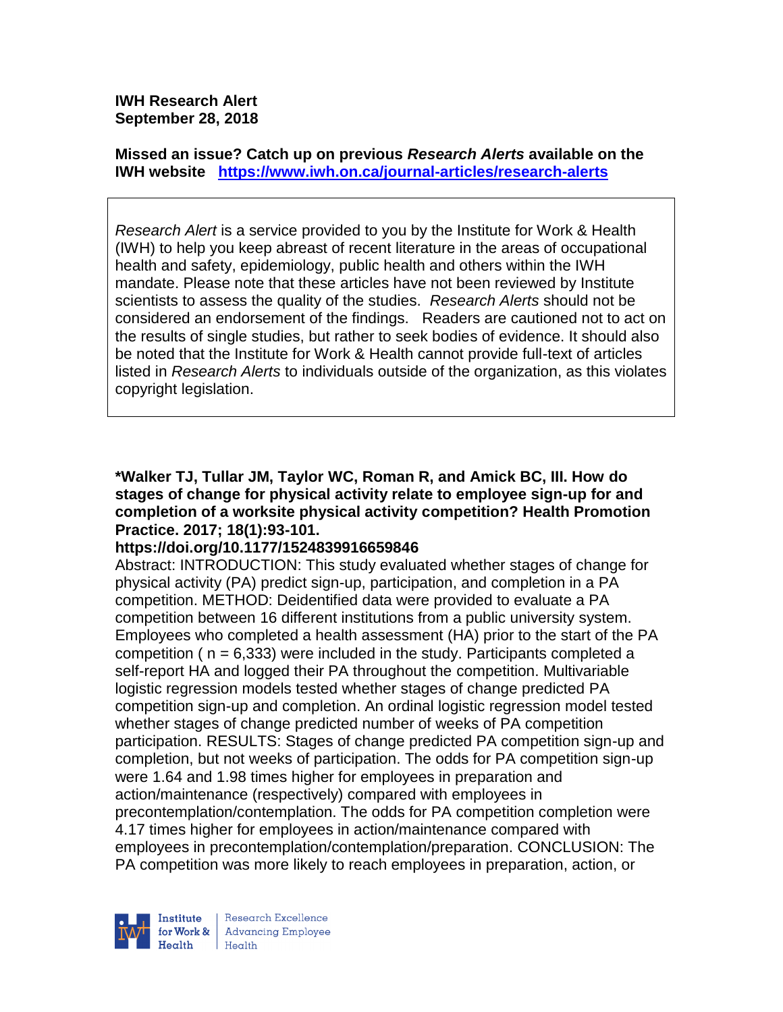**IWH Research Alert September 28, 2018**

**Missed an issue? Catch up on previous** *Research Alerts* **available on the [IWH website](http://www.iwh.on.ca/research-alerts) <https://www.iwh.on.ca/journal-articles/research-alerts>**

*Research Alert* is a service provided to you by the Institute for Work & Health (IWH) to help you keep abreast of recent literature in the areas of occupational health and safety, epidemiology, public health and others within the IWH mandate. Please note that these articles have not been reviewed by Institute scientists to assess the quality of the studies. *Research Alerts* should not be considered an endorsement of the findings. Readers are cautioned not to act on the results of single studies, but rather to seek bodies of evidence. It should also be noted that the Institute for Work & Health cannot provide full-text of articles listed in *Research Alerts* to individuals outside of the organization, as this violates copyright legislation.

**\*Walker TJ, Tullar JM, Taylor WC, Roman R, and Amick BC, III. How do stages of change for physical activity relate to employee sign-up for and completion of a worksite physical activity competition? Health Promotion Practice. 2017; 18(1):93-101.** 

#### **https://doi.org/10.1177/1524839916659846**

Abstract: INTRODUCTION: This study evaluated whether stages of change for physical activity (PA) predict sign-up, participation, and completion in a PA competition. METHOD: Deidentified data were provided to evaluate a PA competition between 16 different institutions from a public university system. Employees who completed a health assessment (HA) prior to the start of the PA competition ( $n = 6,333$ ) were included in the study. Participants completed a self-report HA and logged their PA throughout the competition. Multivariable logistic regression models tested whether stages of change predicted PA competition sign-up and completion. An ordinal logistic regression model tested whether stages of change predicted number of weeks of PA competition participation. RESULTS: Stages of change predicted PA competition sign-up and completion, but not weeks of participation. The odds for PA competition sign-up were 1.64 and 1.98 times higher for employees in preparation and action/maintenance (respectively) compared with employees in precontemplation/contemplation. The odds for PA competition completion were 4.17 times higher for employees in action/maintenance compared with employees in precontemplation/contemplation/preparation. CONCLUSION: The PA competition was more likely to reach employees in preparation, action, or

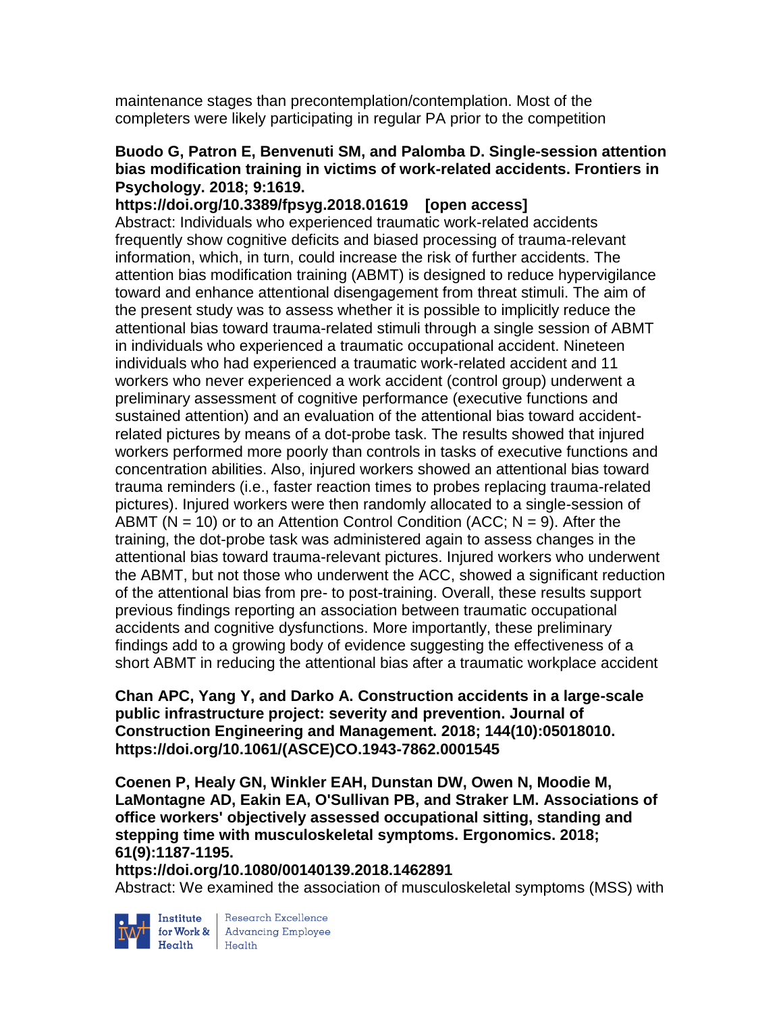maintenance stages than precontemplation/contemplation. Most of the completers were likely participating in regular PA prior to the competition

## **Buodo G, Patron E, Benvenuti SM, and Palomba D. Single-session attention bias modification training in victims of work-related accidents. Frontiers in Psychology. 2018; 9:1619.**

**https://doi.org/10.3389/fpsyg.2018.01619 [open access]** Abstract: Individuals who experienced traumatic work-related accidents frequently show cognitive deficits and biased processing of trauma-relevant information, which, in turn, could increase the risk of further accidents. The attention bias modification training (ABMT) is designed to reduce hypervigilance toward and enhance attentional disengagement from threat stimuli. The aim of the present study was to assess whether it is possible to implicitly reduce the attentional bias toward trauma-related stimuli through a single session of ABMT in individuals who experienced a traumatic occupational accident. Nineteen individuals who had experienced a traumatic work-related accident and 11 workers who never experienced a work accident (control group) underwent a preliminary assessment of cognitive performance (executive functions and sustained attention) and an evaluation of the attentional bias toward accidentrelated pictures by means of a dot-probe task. The results showed that injured workers performed more poorly than controls in tasks of executive functions and concentration abilities. Also, injured workers showed an attentional bias toward trauma reminders (i.e., faster reaction times to probes replacing trauma-related pictures). Injured workers were then randomly allocated to a single-session of ABMT ( $N = 10$ ) or to an Attention Control Condition (ACC;  $N = 9$ ). After the training, the dot-probe task was administered again to assess changes in the attentional bias toward trauma-relevant pictures. Injured workers who underwent the ABMT, but not those who underwent the ACC, showed a significant reduction of the attentional bias from pre- to post-training. Overall, these results support previous findings reporting an association between traumatic occupational accidents and cognitive dysfunctions. More importantly, these preliminary findings add to a growing body of evidence suggesting the effectiveness of a short ABMT in reducing the attentional bias after a traumatic workplace accident

**Chan APC, Yang Y, and Darko A. Construction accidents in a large-scale public infrastructure project: severity and prevention. Journal of Construction Engineering and Management. 2018; 144(10):05018010. https://doi.org/10.1061/(ASCE)CO.1943-7862.0001545** 

**Coenen P, Healy GN, Winkler EAH, Dunstan DW, Owen N, Moodie M, LaMontagne AD, Eakin EA, O'Sullivan PB, and Straker LM. Associations of office workers' objectively assessed occupational sitting, standing and stepping time with musculoskeletal symptoms. Ergonomics. 2018; 61(9):1187-1195.** 

**https://doi.org/10.1080/00140139.2018.1462891** 

Abstract: We examined the association of musculoskeletal symptoms (MSS) with



Institute Research Excellence<br>
for Work & Advancing Employee<br>
Health Health  $Heath$  Health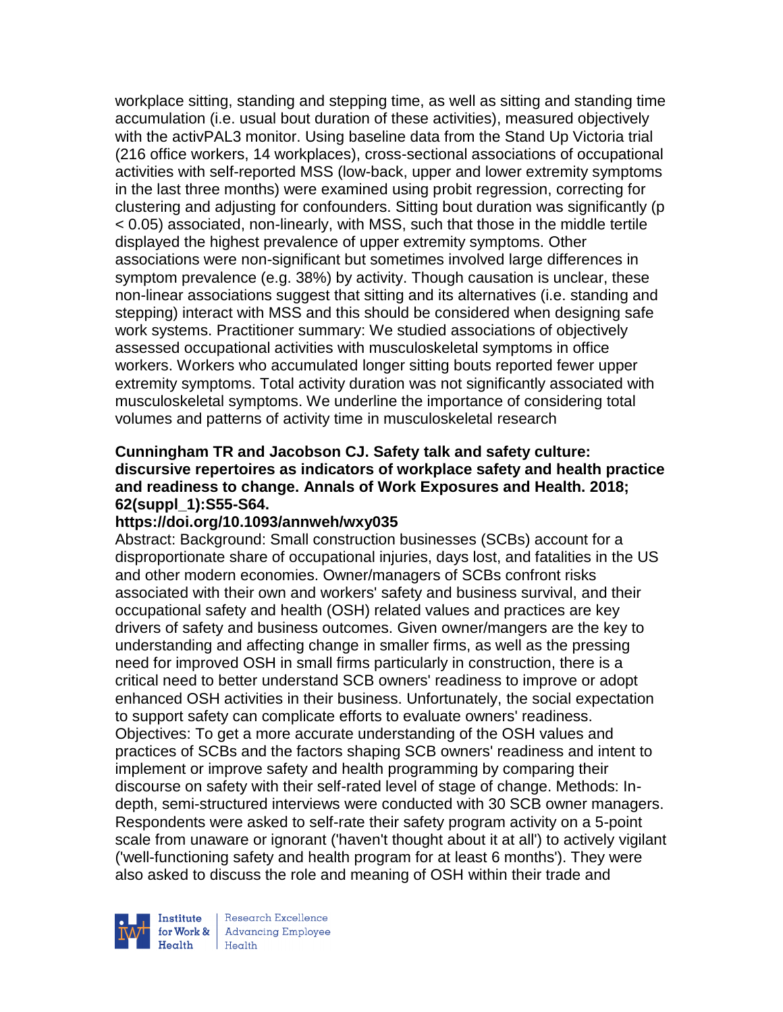workplace sitting, standing and stepping time, as well as sitting and standing time accumulation (i.e. usual bout duration of these activities), measured objectively with the activPAL3 monitor. Using baseline data from the Stand Up Victoria trial (216 office workers, 14 workplaces), cross-sectional associations of occupational activities with self-reported MSS (low-back, upper and lower extremity symptoms in the last three months) were examined using probit regression, correcting for clustering and adjusting for confounders. Sitting bout duration was significantly (p < 0.05) associated, non-linearly, with MSS, such that those in the middle tertile displayed the highest prevalence of upper extremity symptoms. Other associations were non-significant but sometimes involved large differences in symptom prevalence (e.g. 38%) by activity. Though causation is unclear, these non-linear associations suggest that sitting and its alternatives (i.e. standing and stepping) interact with MSS and this should be considered when designing safe work systems. Practitioner summary: We studied associations of objectively assessed occupational activities with musculoskeletal symptoms in office workers. Workers who accumulated longer sitting bouts reported fewer upper extremity symptoms. Total activity duration was not significantly associated with musculoskeletal symptoms. We underline the importance of considering total volumes and patterns of activity time in musculoskeletal research

## **Cunningham TR and Jacobson CJ. Safety talk and safety culture: discursive repertoires as indicators of workplace safety and health practice and readiness to change. Annals of Work Exposures and Health. 2018; 62(suppl\_1):S55-S64.**

#### **https://doi.org/10.1093/annweh/wxy035**

Abstract: Background: Small construction businesses (SCBs) account for a disproportionate share of occupational injuries, days lost, and fatalities in the US and other modern economies. Owner/managers of SCBs confront risks associated with their own and workers' safety and business survival, and their occupational safety and health (OSH) related values and practices are key drivers of safety and business outcomes. Given owner/mangers are the key to understanding and affecting change in smaller firms, as well as the pressing need for improved OSH in small firms particularly in construction, there is a critical need to better understand SCB owners' readiness to improve or adopt enhanced OSH activities in their business. Unfortunately, the social expectation to support safety can complicate efforts to evaluate owners' readiness. Objectives: To get a more accurate understanding of the OSH values and practices of SCBs and the factors shaping SCB owners' readiness and intent to implement or improve safety and health programming by comparing their discourse on safety with their self-rated level of stage of change. Methods: Indepth, semi-structured interviews were conducted with 30 SCB owner managers. Respondents were asked to self-rate their safety program activity on a 5-point scale from unaware or ignorant ('haven't thought about it at all') to actively vigilant ('well-functioning safety and health program for at least 6 months'). They were also asked to discuss the role and meaning of OSH within their trade and



Research Excellence for Work & | Advancing Employee Health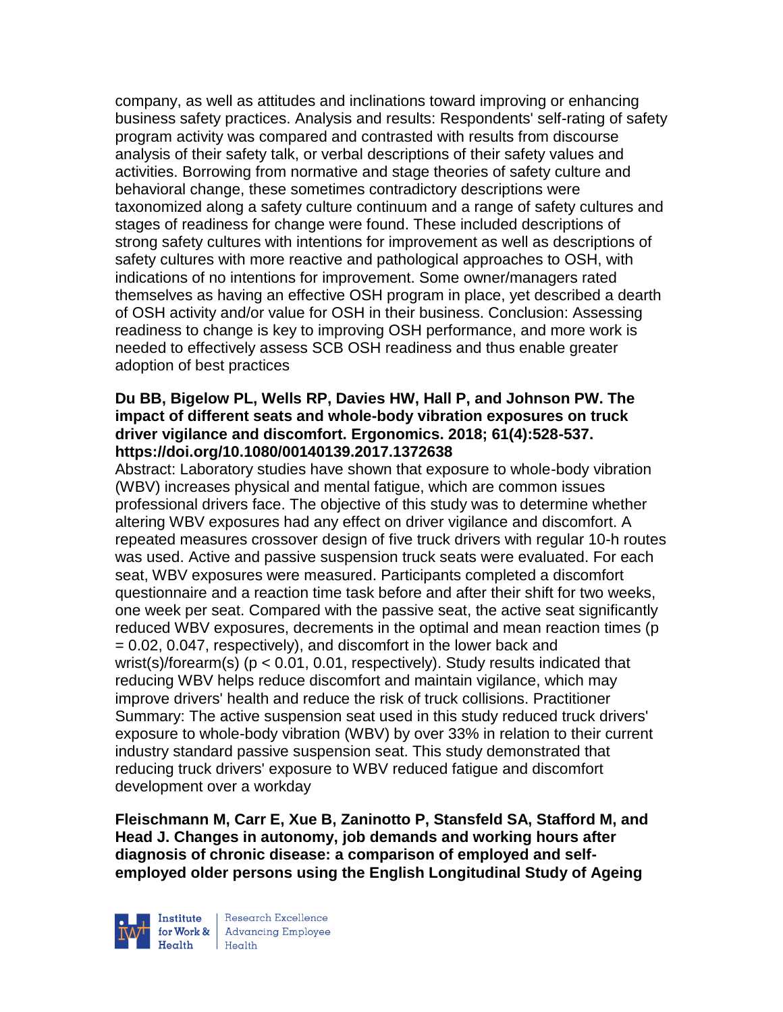company, as well as attitudes and inclinations toward improving or enhancing business safety practices. Analysis and results: Respondents' self-rating of safety program activity was compared and contrasted with results from discourse analysis of their safety talk, or verbal descriptions of their safety values and activities. Borrowing from normative and stage theories of safety culture and behavioral change, these sometimes contradictory descriptions were taxonomized along a safety culture continuum and a range of safety cultures and stages of readiness for change were found. These included descriptions of strong safety cultures with intentions for improvement as well as descriptions of safety cultures with more reactive and pathological approaches to OSH, with indications of no intentions for improvement. Some owner/managers rated themselves as having an effective OSH program in place, yet described a dearth of OSH activity and/or value for OSH in their business. Conclusion: Assessing readiness to change is key to improving OSH performance, and more work is needed to effectively assess SCB OSH readiness and thus enable greater adoption of best practices

### **Du BB, Bigelow PL, Wells RP, Davies HW, Hall P, and Johnson PW. The impact of different seats and whole-body vibration exposures on truck driver vigilance and discomfort. Ergonomics. 2018; 61(4):528-537. https://doi.org/10.1080/00140139.2017.1372638**

Abstract: Laboratory studies have shown that exposure to whole-body vibration (WBV) increases physical and mental fatigue, which are common issues professional drivers face. The objective of this study was to determine whether altering WBV exposures had any effect on driver vigilance and discomfort. A repeated measures crossover design of five truck drivers with regular 10-h routes was used. Active and passive suspension truck seats were evaluated. For each seat, WBV exposures were measured. Participants completed a discomfort questionnaire and a reaction time task before and after their shift for two weeks, one week per seat. Compared with the passive seat, the active seat significantly reduced WBV exposures, decrements in the optimal and mean reaction times (p = 0.02, 0.047, respectively), and discomfort in the lower back and wrist(s)/forearm(s) (p < 0.01, 0.01, respectively). Study results indicated that reducing WBV helps reduce discomfort and maintain vigilance, which may improve drivers' health and reduce the risk of truck collisions. Practitioner Summary: The active suspension seat used in this study reduced truck drivers' exposure to whole-body vibration (WBV) by over 33% in relation to their current industry standard passive suspension seat. This study demonstrated that reducing truck drivers' exposure to WBV reduced fatigue and discomfort development over a workday

**Fleischmann M, Carr E, Xue B, Zaninotto P, Stansfeld SA, Stafford M, and Head J. Changes in autonomy, job demands and working hours after diagnosis of chronic disease: a comparison of employed and selfemployed older persons using the English Longitudinal Study of Ageing** 



Institute Research Excellence<br> **Fractional Employee Health** Health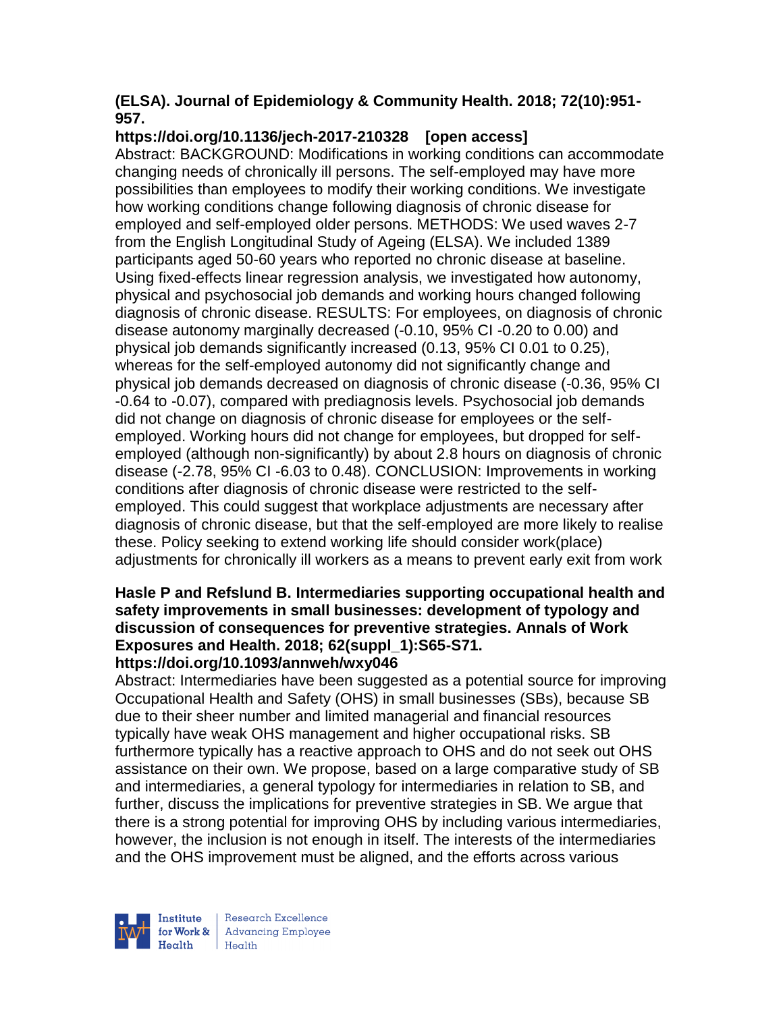## **(ELSA). Journal of Epidemiology & Community Health. 2018; 72(10):951- 957.**

# **https://doi.org/10.1136/jech-2017-210328 [open access]**

Abstract: BACKGROUND: Modifications in working conditions can accommodate changing needs of chronically ill persons. The self-employed may have more possibilities than employees to modify their working conditions. We investigate how working conditions change following diagnosis of chronic disease for employed and self-employed older persons. METHODS: We used waves 2-7 from the English Longitudinal Study of Ageing (ELSA). We included 1389 participants aged 50-60 years who reported no chronic disease at baseline. Using fixed-effects linear regression analysis, we investigated how autonomy, physical and psychosocial job demands and working hours changed following diagnosis of chronic disease. RESULTS: For employees, on diagnosis of chronic disease autonomy marginally decreased (-0.10, 95% CI -0.20 to 0.00) and physical job demands significantly increased (0.13, 95% CI 0.01 to 0.25), whereas for the self-employed autonomy did not significantly change and physical job demands decreased on diagnosis of chronic disease (-0.36, 95% CI -0.64 to -0.07), compared with prediagnosis levels. Psychosocial job demands did not change on diagnosis of chronic disease for employees or the selfemployed. Working hours did not change for employees, but dropped for selfemployed (although non-significantly) by about 2.8 hours on diagnosis of chronic disease (-2.78, 95% CI -6.03 to 0.48). CONCLUSION: Improvements in working conditions after diagnosis of chronic disease were restricted to the selfemployed. This could suggest that workplace adjustments are necessary after diagnosis of chronic disease, but that the self-employed are more likely to realise these. Policy seeking to extend working life should consider work(place) adjustments for chronically ill workers as a means to prevent early exit from work

#### **Hasle P and Refslund B. Intermediaries supporting occupational health and safety improvements in small businesses: development of typology and discussion of consequences for preventive strategies. Annals of Work Exposures and Health. 2018; 62(suppl\_1):S65-S71. https://doi.org/10.1093/annweh/wxy046**

Abstract: Intermediaries have been suggested as a potential source for improving Occupational Health and Safety (OHS) in small businesses (SBs), because SB due to their sheer number and limited managerial and financial resources typically have weak OHS management and higher occupational risks. SB furthermore typically has a reactive approach to OHS and do not seek out OHS assistance on their own. We propose, based on a large comparative study of SB and intermediaries, a general typology for intermediaries in relation to SB, and further, discuss the implications for preventive strategies in SB. We argue that there is a strong potential for improving OHS by including various intermediaries, however, the inclusion is not enough in itself. The interests of the intermediaries and the OHS improvement must be aligned, and the efforts across various



Research Excellence for Work & | Advancing Employee Health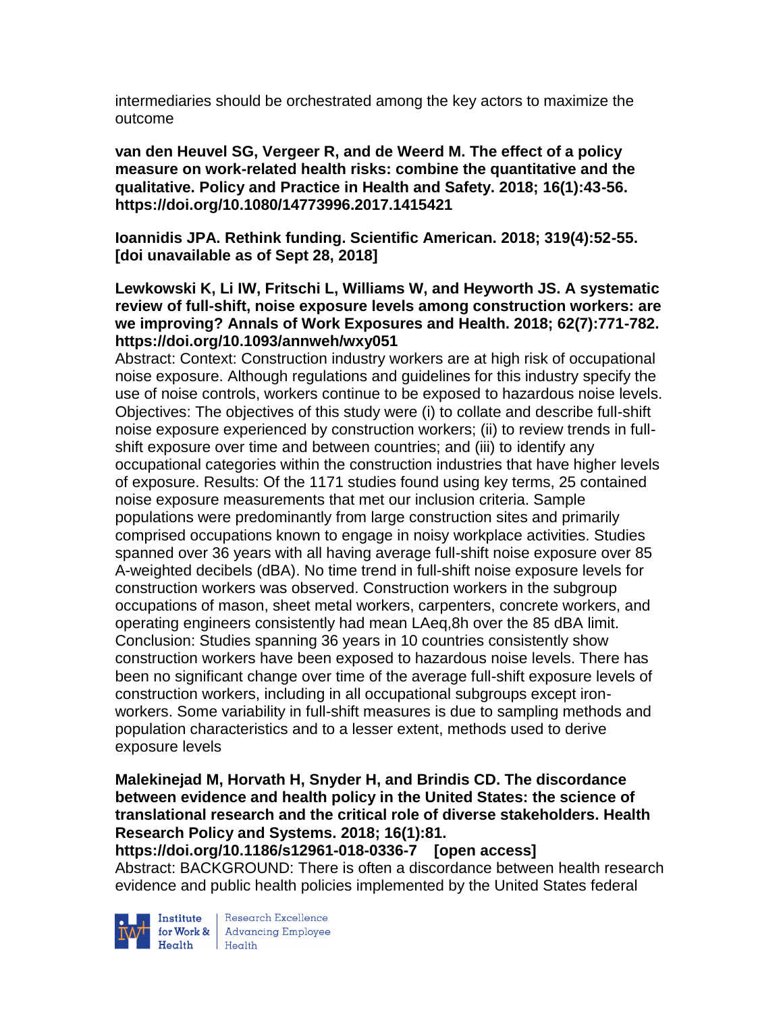intermediaries should be orchestrated among the key actors to maximize the outcome

**van den Heuvel SG, Vergeer R, and de Weerd M. The effect of a policy measure on work-related health risks: combine the quantitative and the qualitative. Policy and Practice in Health and Safety. 2018; 16(1):43-56. https://doi.org/10.1080/14773996.2017.1415421** 

**Ioannidis JPA. Rethink funding. Scientific American. 2018; 319(4):52-55. [doi unavailable as of Sept 28, 2018]**

## **Lewkowski K, Li IW, Fritschi L, Williams W, and Heyworth JS. A systematic review of full-shift, noise exposure levels among construction workers: are we improving? Annals of Work Exposures and Health. 2018; 62(7):771-782. https://doi.org/10.1093/annweh/wxy051**

Abstract: Context: Construction industry workers are at high risk of occupational noise exposure. Although regulations and guidelines for this industry specify the use of noise controls, workers continue to be exposed to hazardous noise levels. Objectives: The objectives of this study were (i) to collate and describe full-shift noise exposure experienced by construction workers; (ii) to review trends in fullshift exposure over time and between countries; and (iii) to identify any occupational categories within the construction industries that have higher levels of exposure. Results: Of the 1171 studies found using key terms, 25 contained noise exposure measurements that met our inclusion criteria. Sample populations were predominantly from large construction sites and primarily comprised occupations known to engage in noisy workplace activities. Studies spanned over 36 years with all having average full-shift noise exposure over 85 A-weighted decibels (dBA). No time trend in full-shift noise exposure levels for construction workers was observed. Construction workers in the subgroup occupations of mason, sheet metal workers, carpenters, concrete workers, and operating engineers consistently had mean LAeq,8h over the 85 dBA limit. Conclusion: Studies spanning 36 years in 10 countries consistently show construction workers have been exposed to hazardous noise levels. There has been no significant change over time of the average full-shift exposure levels of construction workers, including in all occupational subgroups except ironworkers. Some variability in full-shift measures is due to sampling methods and population characteristics and to a lesser extent, methods used to derive exposure levels

## **Malekinejad M, Horvath H, Snyder H, and Brindis CD. The discordance between evidence and health policy in the United States: the science of translational research and the critical role of diverse stakeholders. Health Research Policy and Systems. 2018; 16(1):81.**

**https://doi.org/10.1186/s12961-018-0336-7 [open access]** Abstract: BACKGROUND: There is often a discordance between health research evidence and public health policies implemented by the United States federal



Institute Research Excellence<br>
for Work & Advancing Employee<br>
Health Health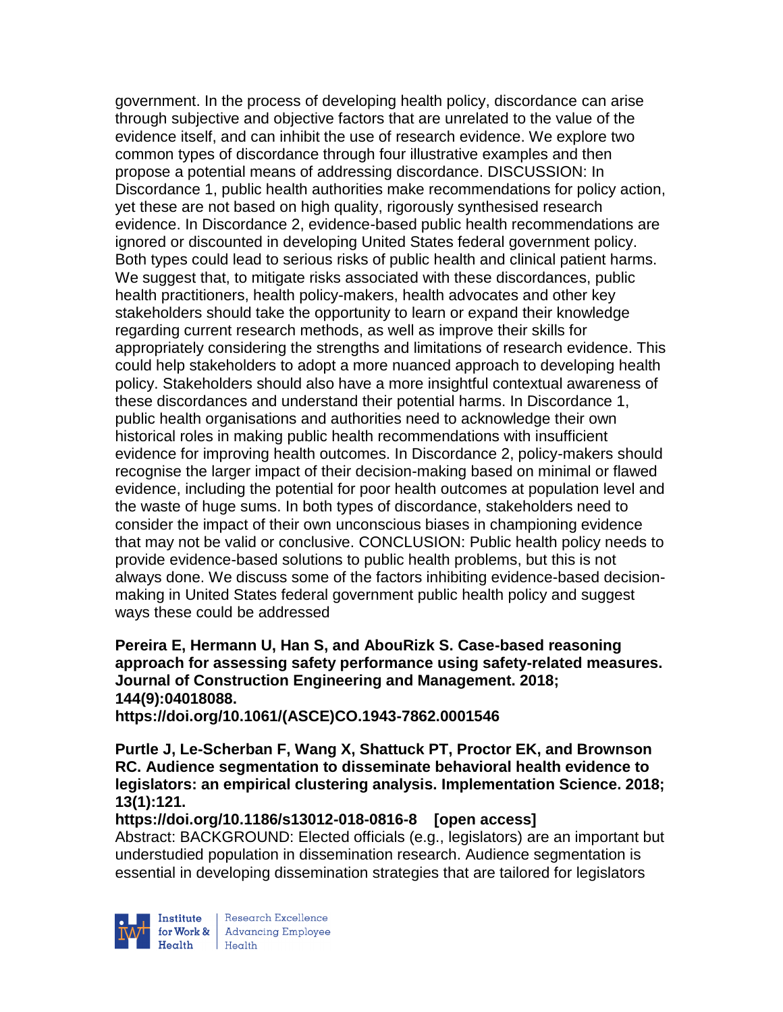government. In the process of developing health policy, discordance can arise through subjective and objective factors that are unrelated to the value of the evidence itself, and can inhibit the use of research evidence. We explore two common types of discordance through four illustrative examples and then propose a potential means of addressing discordance. DISCUSSION: In Discordance 1, public health authorities make recommendations for policy action, yet these are not based on high quality, rigorously synthesised research evidence. In Discordance 2, evidence-based public health recommendations are ignored or discounted in developing United States federal government policy. Both types could lead to serious risks of public health and clinical patient harms. We suggest that, to mitigate risks associated with these discordances, public health practitioners, health policy-makers, health advocates and other key stakeholders should take the opportunity to learn or expand their knowledge regarding current research methods, as well as improve their skills for appropriately considering the strengths and limitations of research evidence. This could help stakeholders to adopt a more nuanced approach to developing health policy. Stakeholders should also have a more insightful contextual awareness of these discordances and understand their potential harms. In Discordance 1, public health organisations and authorities need to acknowledge their own historical roles in making public health recommendations with insufficient evidence for improving health outcomes. In Discordance 2, policy-makers should recognise the larger impact of their decision-making based on minimal or flawed evidence, including the potential for poor health outcomes at population level and the waste of huge sums. In both types of discordance, stakeholders need to consider the impact of their own unconscious biases in championing evidence that may not be valid or conclusive. CONCLUSION: Public health policy needs to provide evidence-based solutions to public health problems, but this is not always done. We discuss some of the factors inhibiting evidence-based decisionmaking in United States federal government public health policy and suggest ways these could be addressed

**Pereira E, Hermann U, Han S, and AbouRizk S. Case-based reasoning approach for assessing safety performance using safety-related measures. Journal of Construction Engineering and Management. 2018; 144(9):04018088.**

**https://doi.org/10.1061/(ASCE)CO.1943-7862.0001546** 

**Purtle J, Le-Scherban F, Wang X, Shattuck PT, Proctor EK, and Brownson RC. Audience segmentation to disseminate behavioral health evidence to legislators: an empirical clustering analysis. Implementation Science. 2018; 13(1):121.**

# **https://doi.org/10.1186/s13012-018-0816-8 [open access]**

Abstract: BACKGROUND: Elected officials (e.g., legislators) are an important but understudied population in dissemination research. Audience segmentation is essential in developing dissemination strategies that are tailored for legislators

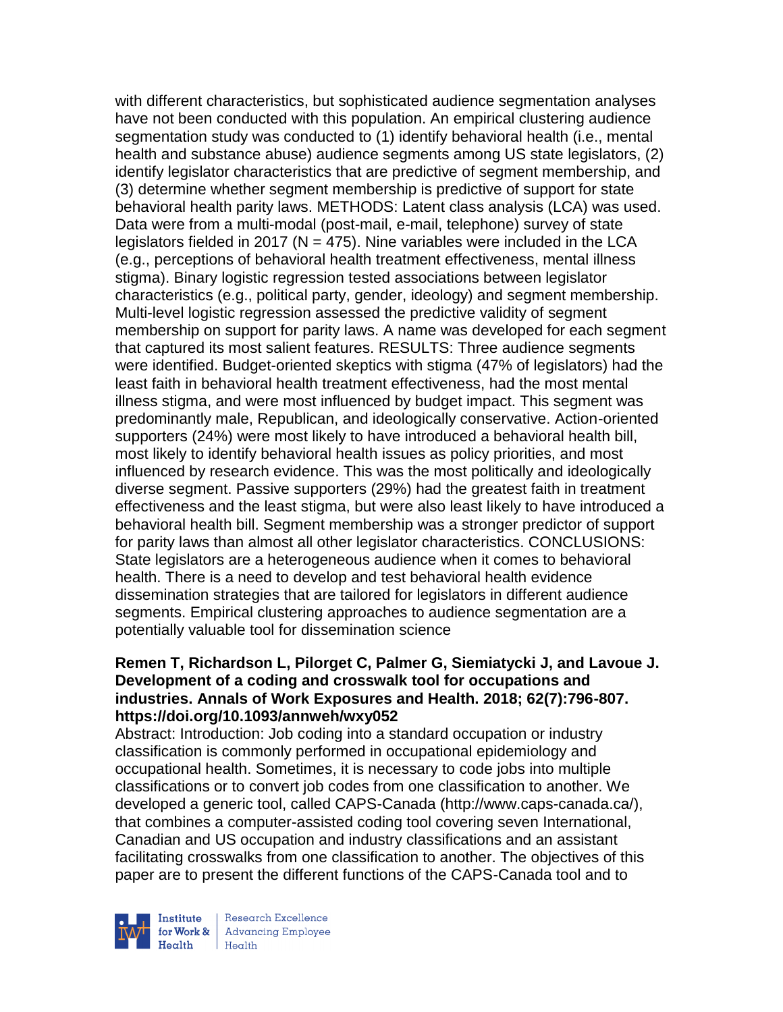with different characteristics, but sophisticated audience segmentation analyses have not been conducted with this population. An empirical clustering audience segmentation study was conducted to (1) identify behavioral health (i.e., mental health and substance abuse) audience segments among US state legislators, (2) identify legislator characteristics that are predictive of segment membership, and (3) determine whether segment membership is predictive of support for state behavioral health parity laws. METHODS: Latent class analysis (LCA) was used. Data were from a multi-modal (post-mail, e-mail, telephone) survey of state legislators fielded in 2017 ( $N = 475$ ). Nine variables were included in the LCA (e.g., perceptions of behavioral health treatment effectiveness, mental illness stigma). Binary logistic regression tested associations between legislator characteristics (e.g., political party, gender, ideology) and segment membership. Multi-level logistic regression assessed the predictive validity of segment membership on support for parity laws. A name was developed for each segment that captured its most salient features. RESULTS: Three audience segments were identified. Budget-oriented skeptics with stigma (47% of legislators) had the least faith in behavioral health treatment effectiveness, had the most mental illness stigma, and were most influenced by budget impact. This segment was predominantly male, Republican, and ideologically conservative. Action-oriented supporters (24%) were most likely to have introduced a behavioral health bill, most likely to identify behavioral health issues as policy priorities, and most influenced by research evidence. This was the most politically and ideologically diverse segment. Passive supporters (29%) had the greatest faith in treatment effectiveness and the least stigma, but were also least likely to have introduced a behavioral health bill. Segment membership was a stronger predictor of support for parity laws than almost all other legislator characteristics. CONCLUSIONS: State legislators are a heterogeneous audience when it comes to behavioral health. There is a need to develop and test behavioral health evidence dissemination strategies that are tailored for legislators in different audience segments. Empirical clustering approaches to audience segmentation are a potentially valuable tool for dissemination science

### **Remen T, Richardson L, Pilorget C, Palmer G, Siemiatycki J, and Lavoue J. Development of a coding and crosswalk tool for occupations and industries. Annals of Work Exposures and Health. 2018; 62(7):796-807. https://doi.org/10.1093/annweh/wxy052**

Abstract: Introduction: Job coding into a standard occupation or industry classification is commonly performed in occupational epidemiology and occupational health. Sometimes, it is necessary to code jobs into multiple classifications or to convert job codes from one classification to another. We developed a generic tool, called CAPS-Canada (http://www.caps-canada.ca/), that combines a computer-assisted coding tool covering seven International, Canadian and US occupation and industry classifications and an assistant facilitating crosswalks from one classification to another. The objectives of this paper are to present the different functions of the CAPS-Canada tool and to



Research Excellence for Work & | Advancing Employee Health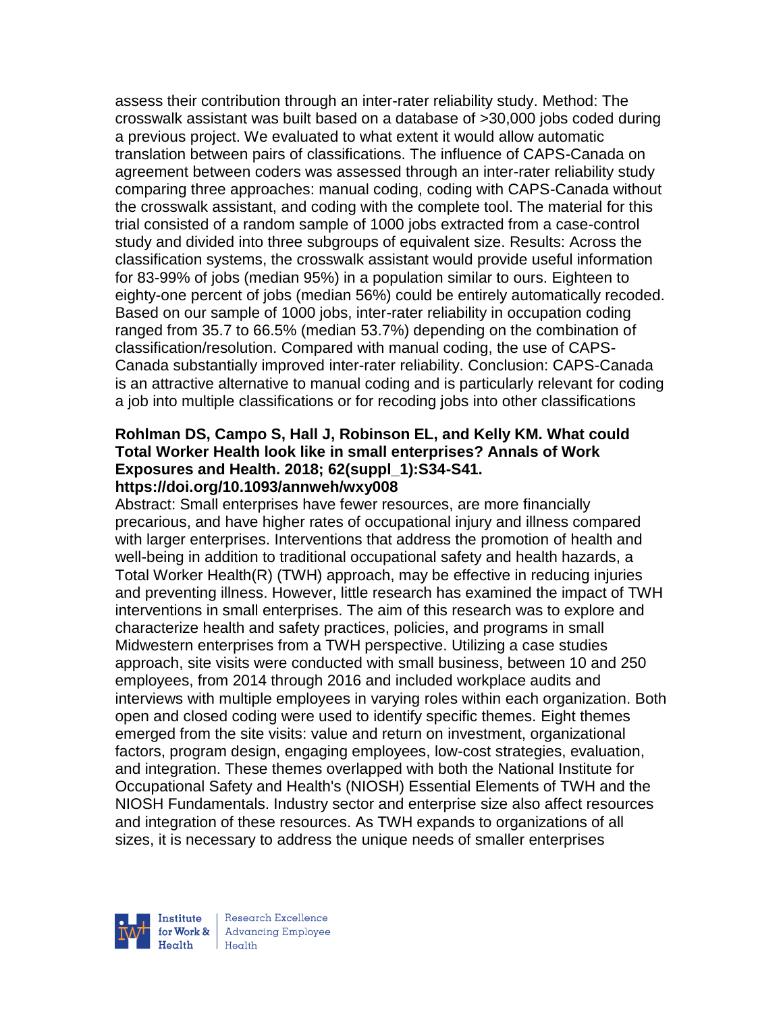assess their contribution through an inter-rater reliability study. Method: The crosswalk assistant was built based on a database of >30,000 jobs coded during a previous project. We evaluated to what extent it would allow automatic translation between pairs of classifications. The influence of CAPS-Canada on agreement between coders was assessed through an inter-rater reliability study comparing three approaches: manual coding, coding with CAPS-Canada without the crosswalk assistant, and coding with the complete tool. The material for this trial consisted of a random sample of 1000 jobs extracted from a case-control study and divided into three subgroups of equivalent size. Results: Across the classification systems, the crosswalk assistant would provide useful information for 83-99% of jobs (median 95%) in a population similar to ours. Eighteen to eighty-one percent of jobs (median 56%) could be entirely automatically recoded. Based on our sample of 1000 jobs, inter-rater reliability in occupation coding ranged from 35.7 to 66.5% (median 53.7%) depending on the combination of classification/resolution. Compared with manual coding, the use of CAPS-Canada substantially improved inter-rater reliability. Conclusion: CAPS-Canada is an attractive alternative to manual coding and is particularly relevant for coding a job into multiple classifications or for recoding jobs into other classifications

### **Rohlman DS, Campo S, Hall J, Robinson EL, and Kelly KM. What could Total Worker Health look like in small enterprises? Annals of Work Exposures and Health. 2018; 62(suppl\_1):S34-S41. https://doi.org/10.1093/annweh/wxy008**

Abstract: Small enterprises have fewer resources, are more financially precarious, and have higher rates of occupational injury and illness compared with larger enterprises. Interventions that address the promotion of health and well-being in addition to traditional occupational safety and health hazards, a Total Worker Health(R) (TWH) approach, may be effective in reducing injuries and preventing illness. However, little research has examined the impact of TWH interventions in small enterprises. The aim of this research was to explore and characterize health and safety practices, policies, and programs in small Midwestern enterprises from a TWH perspective. Utilizing a case studies approach, site visits were conducted with small business, between 10 and 250 employees, from 2014 through 2016 and included workplace audits and interviews with multiple employees in varying roles within each organization. Both open and closed coding were used to identify specific themes. Eight themes emerged from the site visits: value and return on investment, organizational factors, program design, engaging employees, low-cost strategies, evaluation, and integration. These themes overlapped with both the National Institute for Occupational Safety and Health's (NIOSH) Essential Elements of TWH and the NIOSH Fundamentals. Industry sector and enterprise size also affect resources and integration of these resources. As TWH expands to organizations of all sizes, it is necessary to address the unique needs of smaller enterprises



Research Excellence for Work & | Advancing Employee  $H_{\text{eath}}$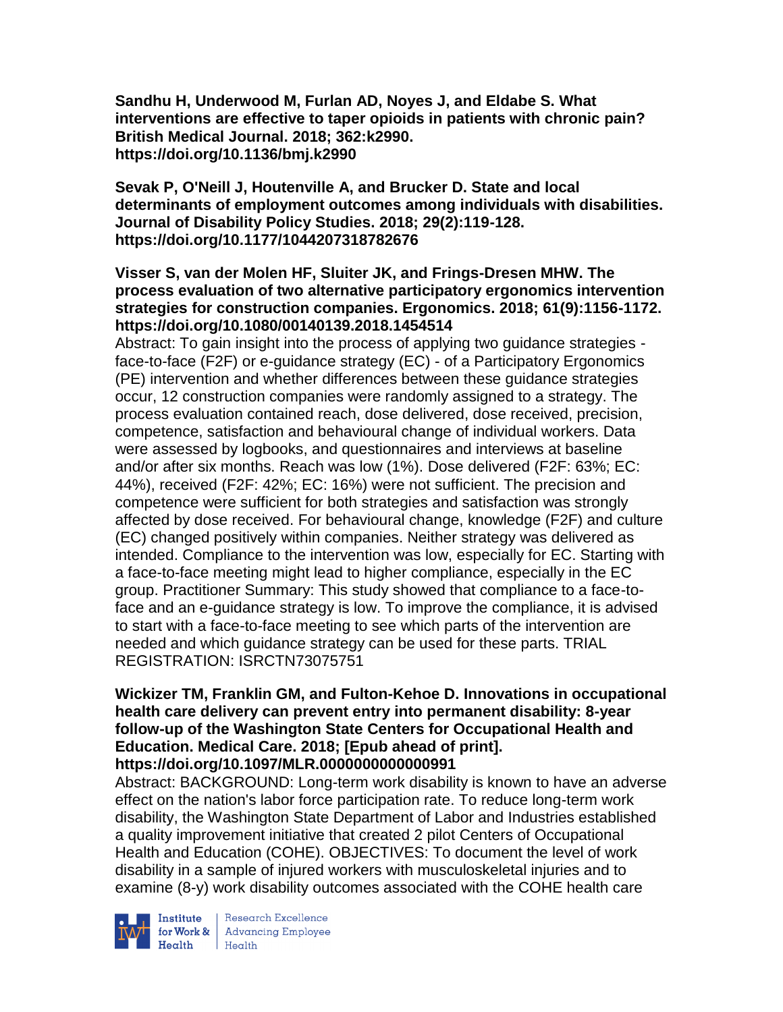**Sandhu H, Underwood M, Furlan AD, Noyes J, and Eldabe S. What interventions are effective to taper opioids in patients with chronic pain? British Medical Journal. 2018; 362:k2990. https://doi.org/10.1136/bmj.k2990** 

**Sevak P, O'Neill J, Houtenville A, and Brucker D. State and local determinants of employment outcomes among individuals with disabilities. Journal of Disability Policy Studies. 2018; 29(2):119-128. https://doi.org/10.1177/1044207318782676** 

## **Visser S, van der Molen HF, Sluiter JK, and Frings-Dresen MHW. The process evaluation of two alternative participatory ergonomics intervention strategies for construction companies. Ergonomics. 2018; 61(9):1156-1172. https://doi.org/10.1080/00140139.2018.1454514**

Abstract: To gain insight into the process of applying two guidance strategies face-to-face (F2F) or e-guidance strategy (EC) - of a Participatory Ergonomics (PE) intervention and whether differences between these guidance strategies occur, 12 construction companies were randomly assigned to a strategy. The process evaluation contained reach, dose delivered, dose received, precision, competence, satisfaction and behavioural change of individual workers. Data were assessed by logbooks, and questionnaires and interviews at baseline and/or after six months. Reach was low (1%). Dose delivered (F2F: 63%; EC: 44%), received (F2F: 42%; EC: 16%) were not sufficient. The precision and competence were sufficient for both strategies and satisfaction was strongly affected by dose received. For behavioural change, knowledge (F2F) and culture (EC) changed positively within companies. Neither strategy was delivered as intended. Compliance to the intervention was low, especially for EC. Starting with a face-to-face meeting might lead to higher compliance, especially in the EC group. Practitioner Summary: This study showed that compliance to a face-toface and an e-guidance strategy is low. To improve the compliance, it is advised to start with a face-to-face meeting to see which parts of the intervention are needed and which guidance strategy can be used for these parts. TRIAL REGISTRATION: ISRCTN73075751

## **Wickizer TM, Franklin GM, and Fulton-Kehoe D. Innovations in occupational health care delivery can prevent entry into permanent disability: 8-year follow-up of the Washington State Centers for Occupational Health and Education. Medical Care. 2018; [Epub ahead of print]. https://doi.org/10.1097/MLR.0000000000000991**

Abstract: BACKGROUND: Long-term work disability is known to have an adverse effect on the nation's labor force participation rate. To reduce long-term work disability, the Washington State Department of Labor and Industries established a quality improvement initiative that created 2 pilot Centers of Occupational Health and Education (COHE). OBJECTIVES: To document the level of work disability in a sample of injured workers with musculoskeletal injuries and to examine (8-y) work disability outcomes associated with the COHE health care



Institute Research Excellence<br>for Work & Advancing Employee<br>Health Health Health Health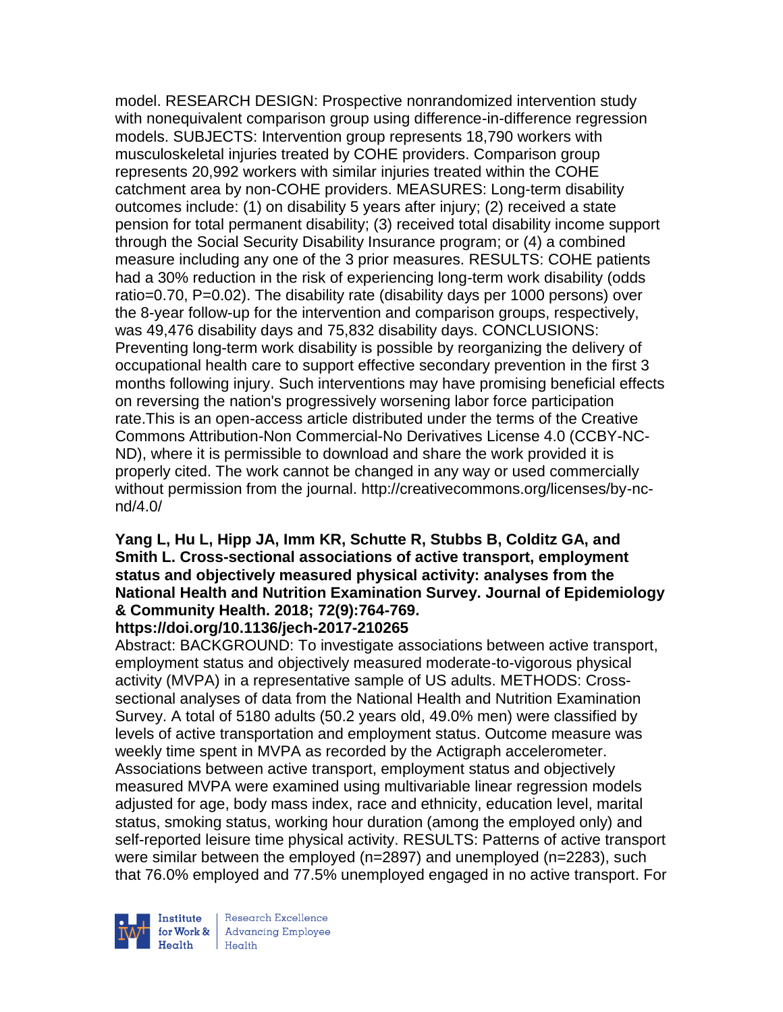model. RESEARCH DESIGN: Prospective nonrandomized intervention study with nonequivalent comparison group using difference-in-difference regression models. SUBJECTS: Intervention group represents 18,790 workers with musculoskeletal injuries treated by COHE providers. Comparison group represents 20,992 workers with similar injuries treated within the COHE catchment area by non-COHE providers. MEASURES: Long-term disability outcomes include: (1) on disability 5 years after injury; (2) received a state pension for total permanent disability; (3) received total disability income support through the Social Security Disability Insurance program; or (4) a combined measure including any one of the 3 prior measures. RESULTS: COHE patients had a 30% reduction in the risk of experiencing long-term work disability (odds ratio=0.70, P=0.02). The disability rate (disability days per 1000 persons) over the 8-year follow-up for the intervention and comparison groups, respectively, was 49,476 disability days and 75,832 disability days. CONCLUSIONS: Preventing long-term work disability is possible by reorganizing the delivery of occupational health care to support effective secondary prevention in the first 3 months following injury. Such interventions may have promising beneficial effects on reversing the nation's progressively worsening labor force participation rate.This is an open-access article distributed under the terms of the Creative Commons Attribution-Non Commercial-No Derivatives License 4.0 (CCBY-NC-ND), where it is permissible to download and share the work provided it is properly cited. The work cannot be changed in any way or used commercially without permission from the journal. http://creativecommons.org/licenses/by-ncnd/4.0/

## **Yang L, Hu L, Hipp JA, Imm KR, Schutte R, Stubbs B, Colditz GA, and Smith L. Cross-sectional associations of active transport, employment status and objectively measured physical activity: analyses from the National Health and Nutrition Examination Survey. Journal of Epidemiology & Community Health. 2018; 72(9):764-769.**

## **https://doi.org/10.1136/jech-2017-210265**

Abstract: BACKGROUND: To investigate associations between active transport, employment status and objectively measured moderate-to-vigorous physical activity (MVPA) in a representative sample of US adults. METHODS: Crosssectional analyses of data from the National Health and Nutrition Examination Survey. A total of 5180 adults (50.2 years old, 49.0% men) were classified by levels of active transportation and employment status. Outcome measure was weekly time spent in MVPA as recorded by the Actigraph accelerometer. Associations between active transport, employment status and objectively measured MVPA were examined using multivariable linear regression models adjusted for age, body mass index, race and ethnicity, education level, marital status, smoking status, working hour duration (among the employed only) and self-reported leisure time physical activity. RESULTS: Patterns of active transport were similar between the employed (n=2897) and unemployed (n=2283), such that 76.0% employed and 77.5% unemployed engaged in no active transport. For